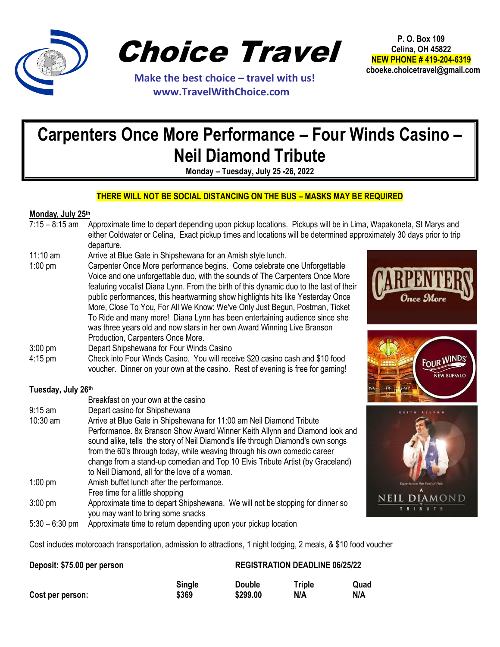

Choice Travel

 **Make the best choice – travel with us! www.TravelWithChoice.com**

**P. O. Box 109 Celina, OH 45822 NEW PHONE # 419-204-6319 cboeke.choicetravel@gmail.com** 

## **Carpenters Once More Performance – Four Winds Casino – Neil Diamond Tribute**

**Monday – Tuesday, July 25 -26, 2022**

## **THERE WILL NOT BE SOCIAL DISTANCING ON THE BUS – MASKS MAY BE REQUIRED**

## **Monday, July 25th**

- 7:15 8:15 am Approximate time to depart depending upon pickup locations. Pickups will be in Lima, Wapakoneta, St Marys and either Coldwater or Celina, Exact pickup times and locations will be determined approximately 30 days prior to trip departure.
- 11:10 am Arrive at Blue Gate in Shipshewana for an Amish style lunch.

3:00 pm Depart Shipshewana for Four Winds Casino

1:00 pm Carpenter Once More performance begins. Come celebrate one Unforgettable Voice and one unforgettable duo, with the sounds of The Carpenters Once More featuring vocalist Diana Lynn. From the birth of this dynamic duo to the last of their public performances, this heartwarming show highlights hits like Yesterday Once More, Close To You, For All We Know: We've Only Just Begun, Postman, Ticket To Ride and many more! Diana Lynn has been entertaining audience since she was three years old and now stars in her own Award Winning Live Branson Production, Carpenters Once More.







voucher. Dinner on your own at the casino. Rest of evening is free for gaming! **Tuesday, July 26th** Breakfast on your own at the casino 9:15 am Depart casino for Shipshewana

4:15 pm Check into Four Winds Casino. You will receive \$20 casino cash and \$10 food

- 10:30 am Arrive at Blue Gate in Shipshewana for 11:00 am Neil Diamond Tribute Performance. 8x Branson Show Award Winner Keith Allynn and Diamond look and sound alike, tells the story of Neil Diamond's life through Diamond's own songs from the 60's through today, while weaving through his own comedic career change from a stand-up comedian and Top 10 Elvis Tribute Artist (by Graceland) to Neil Diamond, all for the love of a woman. 1:00 pm Amish buffet lunch after the performance. Free time for a little shopping
- 3:00 pm Approximate time to depart Shipshewana. We will not be stopping for dinner so you may want to bring some snacks
- 5:30 6:30 pm Approximate time to return depending upon your pickup location

Cost includes motorcoach transportation, admission to attractions, 1 night lodging, 2 meals, & \$10 food voucher

## **Deposit: \$75.00 per person REGISTRATION DEADLINE 06/25/22**

|                  | Single | <b>Double</b> | <b>Triple</b> | Quad |
|------------------|--------|---------------|---------------|------|
| Cost per person: | \$369  | \$299.00      | N/A           | N/A  |